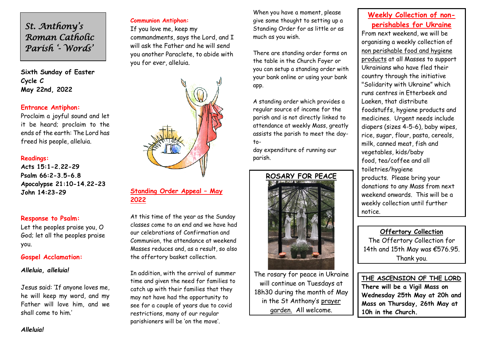*St. Anthony's Roman Catholic Parish '- Words'* 

**Sixth Sunday of Easter** **Cycle C May 22nd, 2022**

#### **Entrance Antiphon:**

Proclaim a joyful sound and let it be heard; proclaim to the ends of the earth: The Lord has freed his people, alleluia.

#### **Readings:**

**Acts 15:1-2.22-29 Psalm 66:2-3.5-6.8 Apocalypse 21:10-14.22-23 John 14:23-29**

#### **Response to Psalm:**

Let the peoples praise you, O God; let all the peoples praise you.

#### **Gospel Acclamation:**

### *Alleluia, alleluia!*

Jesus said: 'If anyone loves me, he will keep my word, and my Father will love him, and we shall come to him.'

# **Communion Antiphon:**

If you love me, keep my commandments, says the Lord, and I will ask the Father and he will send you another Paraclete, to abide with you for ever, alleluia.



## **Standing Order Appeal – May 2022**

At this time of the year as the Sunday classes come to an end and we have had our celebrations of Confirmation and Communion, the attendance at weekend Masses reduces and, as a result, so also the offertory basket collection.

In addition, with the arrival of summer time and given the need for families to catch up with their families that they may not have had the opportunity to see for a couple of years due to covid restrictions, many of our regular parishioners will be 'on the move'.

When you have a moment, please give some thought to setting up a Standing Order for as little or as much as you wish.

There are standing order forms on the table in the Church Foyer or you can setup a standing order with your bank online or using your bank app.

A standing order which provides a regular source of income for the parish and is not directly linked to attendance at weekly Mass, greatly assists the parish to meet the dayto-

day expenditure of running our parish.



The rosary for peace in Ukraine will continue on Tuesdays at 18h30 during the month of May in the St Anthony's prayer garden. All welcome.

# **Weekly Collection of nonperishables for Ukraine**

From next weekend, we will be organising a weekly collection of non perishable food and hygiene products at all Masses to support Ukrainians who have fled their country through the initiative "Solidarity with Ukraine" which runs centres in Etterbeek and Laeken, that distribute foodstuffs, hygiene products and medicines. Urgent needs include diapers (sizes 4-5-6), baby wipes, rice, sugar, flour, pasta, cereals, milk, canned meat, fish and vegetables, kids/baby food, tea/coffee and all toiletries/hygiene products. Please bring your donations to any Mass from next weekend onwards. This will be a weekly collection until further notice.

**Offertory Collection** The Offertory Collection for 14th and 15th May was €576.95. Thank you.

**THE ASCENSION OF THE LORD There will be a Vigil Mass on Wednesday 25th May at 20h and Mass on Thursday, 26th May at 10h in the Church.**